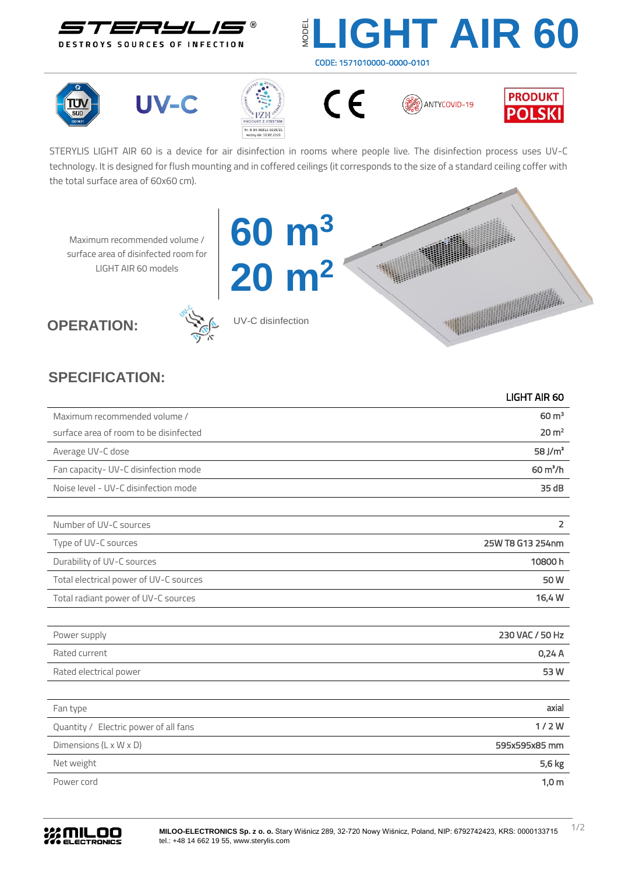

## **LIGHT AIR 60** CODE: 1571010000-0000-0101













STERYLIS LIGHT AIR 60 is a device for air disinfection in rooms where people live. The disinfection process uses UV-C technology. It is designed for flush mounting and in coffered ceilings (it corresponds to the size of a standard ceiling coffer with the total surface area of 60x60 cm).

Maximum recommended volume / surface area of disinfected room for LIGHT AIR 60 models





UV-C disinfection

**60 m<sup>3</sup>**

**20 m<sup>2</sup>**

## **SPECIFICATION:**

|                                        | <b>LIGHT AIR 60</b> |
|----------------------------------------|---------------------|
| Maximum recommended volume /           | $60 \text{ m}^3$    |
| surface area of room to be disinfected | 20 m <sup>2</sup>   |
| Average UV-C dose                      | 58 J/ $m2$          |
| Fan capacity- UV-C disinfection mode   | $60 \text{ m}^3/h$  |
| Noise level - UV-C disinfection mode   | 35dB                |
|                                        |                     |
| Number of UV-C sources                 | $\overline{2}$      |
| Type of UV-C sources                   | 25W T8 G13 254nm    |
| Durability of UV-C sources             | 10800h              |
| Total electrical power of UV-C sources | 50W                 |
| Total radiant power of UV-C sources    | 16,4 W              |
|                                        |                     |
| Power supply                           | 230 VAC / 50 Hz     |
| Rated current                          | 0,24A               |
| Rated electrical power                 | 53W                 |
|                                        |                     |
| Fan type                               | axial               |
| Quantity / Electric power of all fans  | 1/2W                |
| Dimensions (L x W x D)                 | 595x595x85 mm       |
| Net weight                             | 5,6 kg              |
| Power cord                             | 1,0 <sub>m</sub>    |